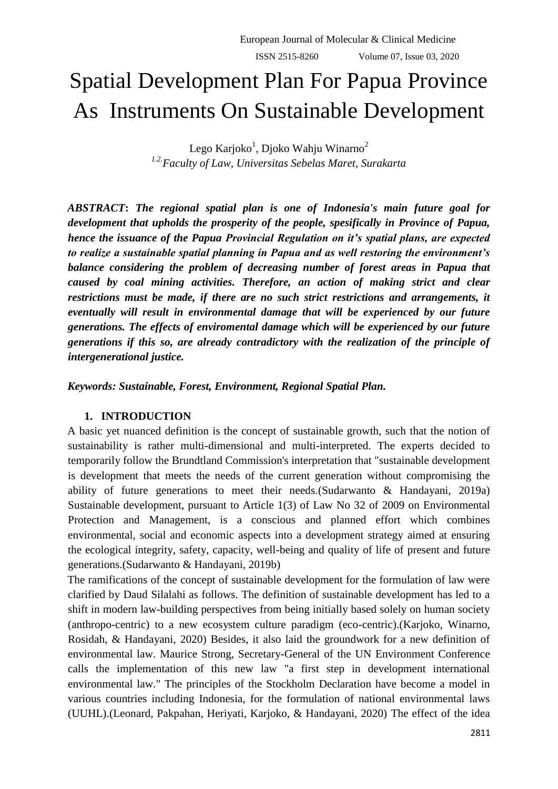# Spatial Development Plan For Papua Province As Instruments On Sustainable Development

Lego Karjoko $^1$ , Djoko Wahju Winarno $^2$ *1.2.Faculty of Law, Universitas Sebelas Maret, Surakarta*

*ABSTRACT***:** *The regional spatial plan is one of Indonesia's main future goal for development that upholds the prosperity of the people, spesifically in Province of Papua, hence the issuance of the Papua Provincial Regulation on it's spatial plans, are expected to realize a sustainable spatial planning in Papua and as well restoring the environment's balance considering the problem of decreasing number of forest areas in Papua that caused by coal mining activities. Therefore, an action of making strict and clear restrictions must be made, if there are no such strict restrictions and arrangements, it eventually will result in environmental damage that will be experienced by our future generations. The effects of enviromental damage which will be experienced by our future generations if this so, are already contradictory with the realization of the principle of intergenerational justice.* 

*Keywords: Sustainable, Forest, Environment, Regional Spatial Plan.* 

# **1. INTRODUCTION**

A basic yet nuanced definition is the concept of sustainable growth, such that the notion of sustainability is rather multi-dimensional and multi-interpreted. The experts decided to temporarily follow the Brundtland Commission's interpretation that "sustainable development is development that meets the needs of the current generation without compromising the ability of future generations to meet their needs.(Sudarwanto & Handayani, 2019a) Sustainable development, pursuant to Article 1(3) of Law No 32 of 2009 on Environmental Protection and Management, is a conscious and planned effort which combines environmental, social and economic aspects into a development strategy aimed at ensuring the ecological integrity, safety, capacity, well-being and quality of life of present and future generations.(Sudarwanto & Handayani, 2019b)

The ramifications of the concept of sustainable development for the formulation of law were clarified by Daud Silalahi as follows. The definition of sustainable development has led to a shift in modern law-building perspectives from being initially based solely on human society (anthropo-centric) to a new ecosystem culture paradigm (eco-centric).(Karjoko, Winarno, Rosidah, & Handayani, 2020) Besides, it also laid the groundwork for a new definition of environmental law. Maurice Strong, Secretary-General of the UN Environment Conference calls the implementation of this new law "a first step in development international environmental law." The principles of the Stockholm Declaration have become a model in various countries including Indonesia, for the formulation of national environmental laws (UUHL).(Leonard, Pakpahan, Heriyati, Karjoko, & Handayani, 2020) The effect of the idea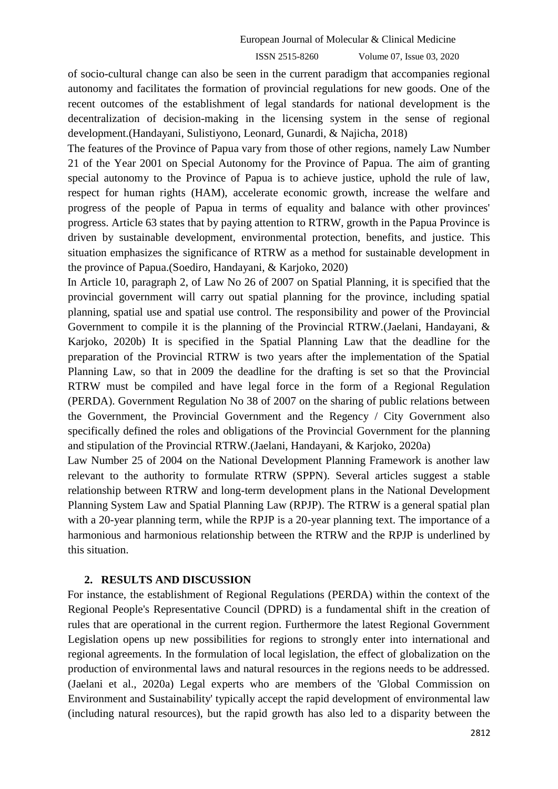of socio-cultural change can also be seen in the current paradigm that accompanies regional autonomy and facilitates the formation of provincial regulations for new goods. One of the recent outcomes of the establishment of legal standards for national development is the decentralization of decision-making in the licensing system in the sense of regional development.(Handayani, Sulistiyono, Leonard, Gunardi, & Najicha, 2018)

The features of the Province of Papua vary from those of other regions, namely Law Number 21 of the Year 2001 on Special Autonomy for the Province of Papua. The aim of granting special autonomy to the Province of Papua is to achieve justice, uphold the rule of law, respect for human rights (HAM), accelerate economic growth, increase the welfare and progress of the people of Papua in terms of equality and balance with other provinces' progress. Article 63 states that by paying attention to RTRW, growth in the Papua Province is driven by sustainable development, environmental protection, benefits, and justice. This situation emphasizes the significance of RTRW as a method for sustainable development in the province of Papua.(Soediro, Handayani, & Karjoko, 2020)

In Article 10, paragraph 2, of Law No 26 of 2007 on Spatial Planning, it is specified that the provincial government will carry out spatial planning for the province, including spatial planning, spatial use and spatial use control. The responsibility and power of the Provincial Government to compile it is the planning of the Provincial RTRW.(Jaelani, Handayani, & Karjoko, 2020b) It is specified in the Spatial Planning Law that the deadline for the preparation of the Provincial RTRW is two years after the implementation of the Spatial Planning Law, so that in 2009 the deadline for the drafting is set so that the Provincial RTRW must be compiled and have legal force in the form of a Regional Regulation (PERDA). Government Regulation No 38 of 2007 on the sharing of public relations between the Government, the Provincial Government and the Regency / City Government also specifically defined the roles and obligations of the Provincial Government for the planning and stipulation of the Provincial RTRW.(Jaelani, Handayani, & Karjoko, 2020a)

Law Number 25 of 2004 on the National Development Planning Framework is another law relevant to the authority to formulate RTRW (SPPN). Several articles suggest a stable relationship between RTRW and long-term development plans in the National Development Planning System Law and Spatial Planning Law (RPJP). The RTRW is a general spatial plan with a 20-year planning term, while the RPJP is a 20-year planning text. The importance of a harmonious and harmonious relationship between the RTRW and the RPJP is underlined by this situation.

## **2. RESULTS AND DISCUSSION**

For instance, the establishment of Regional Regulations (PERDA) within the context of the Regional People's Representative Council (DPRD) is a fundamental shift in the creation of rules that are operational in the current region. Furthermore the latest Regional Government Legislation opens up new possibilities for regions to strongly enter into international and regional agreements. In the formulation of local legislation, the effect of globalization on the production of environmental laws and natural resources in the regions needs to be addressed. (Jaelani et al., 2020a) Legal experts who are members of the 'Global Commission on Environment and Sustainability' typically accept the rapid development of environmental law (including natural resources), but the rapid growth has also led to a disparity between the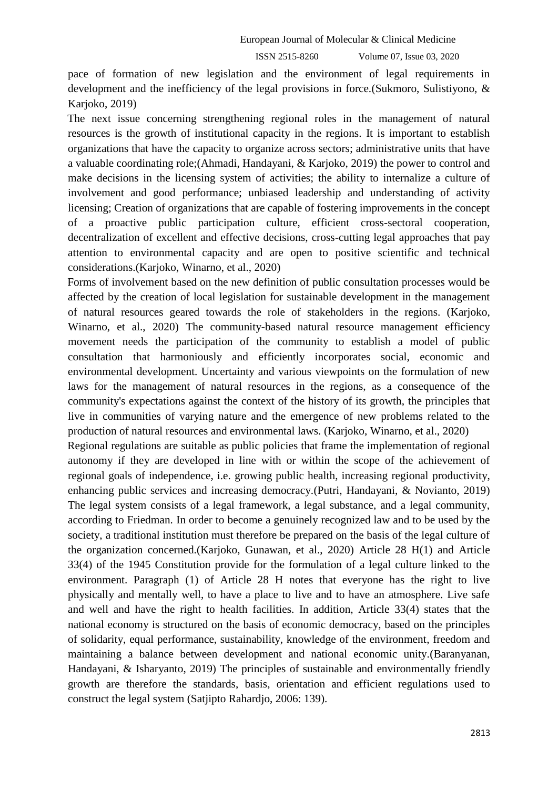pace of formation of new legislation and the environment of legal requirements in development and the inefficiency of the legal provisions in force.(Sukmoro, Sulistiyono, & Karjoko, 2019)

The next issue concerning strengthening regional roles in the management of natural resources is the growth of institutional capacity in the regions. It is important to establish organizations that have the capacity to organize across sectors; administrative units that have a valuable coordinating role;(Ahmadi, Handayani, & Karjoko, 2019) the power to control and make decisions in the licensing system of activities; the ability to internalize a culture of involvement and good performance; unbiased leadership and understanding of activity licensing; Creation of organizations that are capable of fostering improvements in the concept of a proactive public participation culture, efficient cross-sectoral cooperation, decentralization of excellent and effective decisions, cross-cutting legal approaches that pay attention to environmental capacity and are open to positive scientific and technical considerations.(Karjoko, Winarno, et al., 2020)

Forms of involvement based on the new definition of public consultation processes would be affected by the creation of local legislation for sustainable development in the management of natural resources geared towards the role of stakeholders in the regions. (Karjoko, Winarno, et al., 2020) The community-based natural resource management efficiency movement needs the participation of the community to establish a model of public consultation that harmoniously and efficiently incorporates social, economic and environmental development. Uncertainty and various viewpoints on the formulation of new laws for the management of natural resources in the regions, as a consequence of the community's expectations against the context of the history of its growth, the principles that live in communities of varying nature and the emergence of new problems related to the production of natural resources and environmental laws. (Karjoko, Winarno, et al., 2020)

Regional regulations are suitable as public policies that frame the implementation of regional autonomy if they are developed in line with or within the scope of the achievement of regional goals of independence, i.e. growing public health, increasing regional productivity, enhancing public services and increasing democracy.(Putri, Handayani, & Novianto, 2019) The legal system consists of a legal framework, a legal substance, and a legal community, according to Friedman. In order to become a genuinely recognized law and to be used by the society, a traditional institution must therefore be prepared on the basis of the legal culture of the organization concerned.(Karjoko, Gunawan, et al., 2020) Article 28 H(1) and Article 33(4) of the 1945 Constitution provide for the formulation of a legal culture linked to the environment. Paragraph (1) of Article 28 H notes that everyone has the right to live physically and mentally well, to have a place to live and to have an atmosphere. Live safe and well and have the right to health facilities. In addition, Article 33(4) states that the national economy is structured on the basis of economic democracy, based on the principles of solidarity, equal performance, sustainability, knowledge of the environment, freedom and maintaining a balance between development and national economic unity.(Baranyanan, Handayani, & Isharyanto, 2019) The principles of sustainable and environmentally friendly growth are therefore the standards, basis, orientation and efficient regulations used to construct the legal system (Satjipto Rahardjo, 2006: 139).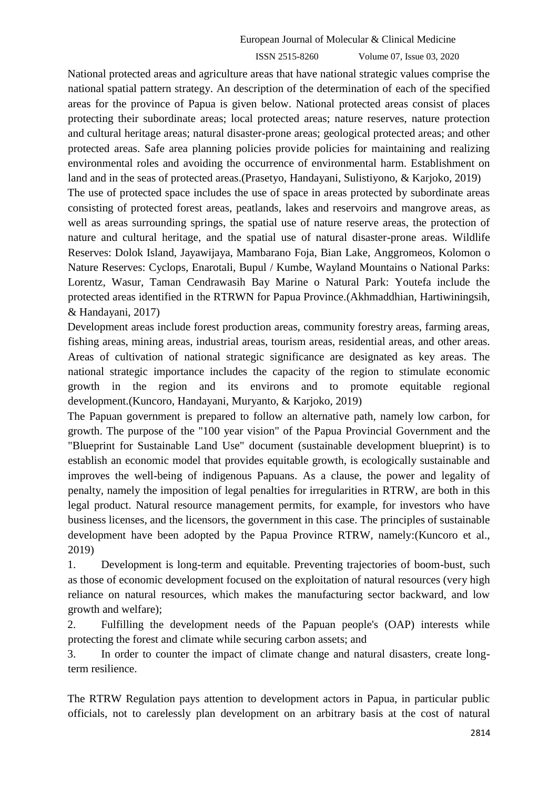National protected areas and agriculture areas that have national strategic values comprise the national spatial pattern strategy. An description of the determination of each of the specified areas for the province of Papua is given below. National protected areas consist of places protecting their subordinate areas; local protected areas; nature reserves, nature protection and cultural heritage areas; natural disaster-prone areas; geological protected areas; and other protected areas. Safe area planning policies provide policies for maintaining and realizing environmental roles and avoiding the occurrence of environmental harm. Establishment on land and in the seas of protected areas.(Prasetyo, Handayani, Sulistiyono, & Karjoko, 2019) The use of protected space includes the use of space in areas protected by subordinate areas consisting of protected forest areas, peatlands, lakes and reservoirs and mangrove areas, as well as areas surrounding springs, the spatial use of nature reserve areas, the protection of nature and cultural heritage, and the spatial use of natural disaster-prone areas. Wildlife Reserves: Dolok Island, Jayawijaya, Mambarano Foja, Bian Lake, Anggromeos, Kolomon o Nature Reserves: Cyclops, Enarotali, Bupul / Kumbe, Wayland Mountains o National Parks: Lorentz, Wasur, Taman Cendrawasih Bay Marine o Natural Park: Youtefa include the protected areas identified in the RTRWN for Papua Province.(Akhmaddhian, Hartiwiningsih, & Handayani, 2017)

Development areas include forest production areas, community forestry areas, farming areas, fishing areas, mining areas, industrial areas, tourism areas, residential areas, and other areas. Areas of cultivation of national strategic significance are designated as key areas. The national strategic importance includes the capacity of the region to stimulate economic growth in the region and its environs and to promote equitable regional development.(Kuncoro, Handayani, Muryanto, & Karjoko, 2019)

The Papuan government is prepared to follow an alternative path, namely low carbon, for growth. The purpose of the "100 year vision" of the Papua Provincial Government and the "Blueprint for Sustainable Land Use" document (sustainable development blueprint) is to establish an economic model that provides equitable growth, is ecologically sustainable and improves the well-being of indigenous Papuans. As a clause, the power and legality of penalty, namely the imposition of legal penalties for irregularities in RTRW, are both in this legal product. Natural resource management permits, for example, for investors who have business licenses, and the licensors, the government in this case. The principles of sustainable development have been adopted by the Papua Province RTRW, namely:(Kuncoro et al., 2019)

1. Development is long-term and equitable. Preventing trajectories of boom-bust, such as those of economic development focused on the exploitation of natural resources (very high reliance on natural resources, which makes the manufacturing sector backward, and low growth and welfare);

2. Fulfilling the development needs of the Papuan people's (OAP) interests while protecting the forest and climate while securing carbon assets; and

3. In order to counter the impact of climate change and natural disasters, create longterm resilience.

The RTRW Regulation pays attention to development actors in Papua, in particular public officials, not to carelessly plan development on an arbitrary basis at the cost of natural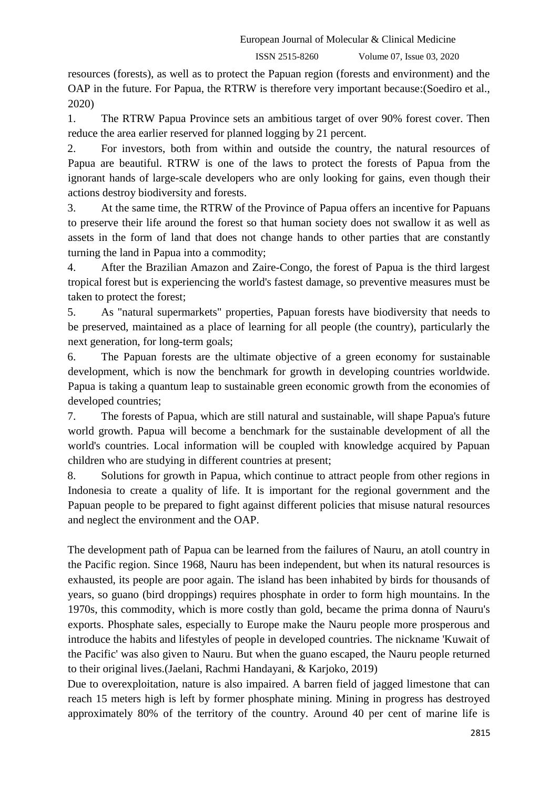resources (forests), as well as to protect the Papuan region (forests and environment) and the OAP in the future. For Papua, the RTRW is therefore very important because:(Soediro et al., 2020)

1. The RTRW Papua Province sets an ambitious target of over 90% forest cover. Then reduce the area earlier reserved for planned logging by 21 percent.

2. For investors, both from within and outside the country, the natural resources of Papua are beautiful. RTRW is one of the laws to protect the forests of Papua from the ignorant hands of large-scale developers who are only looking for gains, even though their actions destroy biodiversity and forests.

3. At the same time, the RTRW of the Province of Papua offers an incentive for Papuans to preserve their life around the forest so that human society does not swallow it as well as assets in the form of land that does not change hands to other parties that are constantly turning the land in Papua into a commodity;

4. After the Brazilian Amazon and Zaire-Congo, the forest of Papua is the third largest tropical forest but is experiencing the world's fastest damage, so preventive measures must be taken to protect the forest;

5. As "natural supermarkets" properties, Papuan forests have biodiversity that needs to be preserved, maintained as a place of learning for all people (the country), particularly the next generation, for long-term goals;

6. The Papuan forests are the ultimate objective of a green economy for sustainable development, which is now the benchmark for growth in developing countries worldwide. Papua is taking a quantum leap to sustainable green economic growth from the economies of developed countries;

7. The forests of Papua, which are still natural and sustainable, will shape Papua's future world growth. Papua will become a benchmark for the sustainable development of all the world's countries. Local information will be coupled with knowledge acquired by Papuan children who are studying in different countries at present;

8. Solutions for growth in Papua, which continue to attract people from other regions in Indonesia to create a quality of life. It is important for the regional government and the Papuan people to be prepared to fight against different policies that misuse natural resources and neglect the environment and the OAP.

The development path of Papua can be learned from the failures of Nauru, an atoll country in the Pacific region. Since 1968, Nauru has been independent, but when its natural resources is exhausted, its people are poor again. The island has been inhabited by birds for thousands of years, so guano (bird droppings) requires phosphate in order to form high mountains. In the 1970s, this commodity, which is more costly than gold, became the prima donna of Nauru's exports. Phosphate sales, especially to Europe make the Nauru people more prosperous and introduce the habits and lifestyles of people in developed countries. The nickname 'Kuwait of the Pacific' was also given to Nauru. But when the guano escaped, the Nauru people returned to their original lives.(Jaelani, Rachmi Handayani, & Karjoko, 2019)

Due to overexploitation, nature is also impaired. A barren field of jagged limestone that can reach 15 meters high is left by former phosphate mining. Mining in progress has destroyed approximately 80% of the territory of the country. Around 40 per cent of marine life is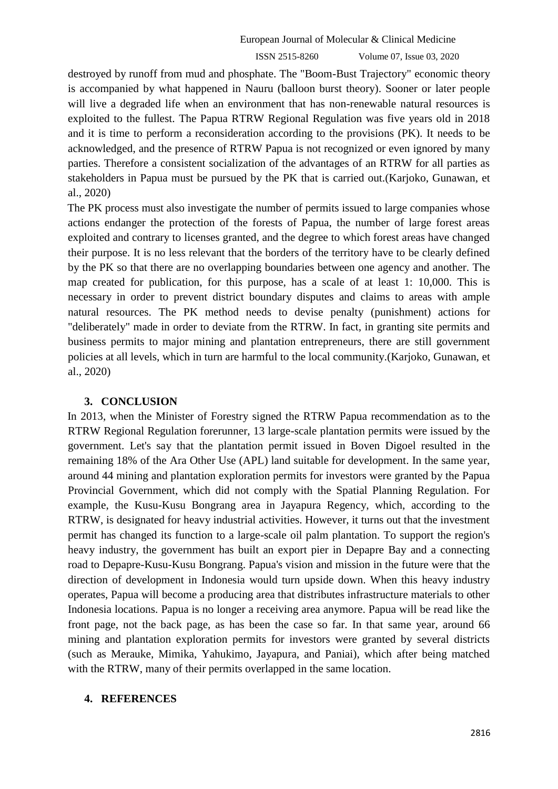destroyed by runoff from mud and phosphate. The "Boom-Bust Trajectory" economic theory is accompanied by what happened in Nauru (balloon burst theory). Sooner or later people will live a degraded life when an environment that has non-renewable natural resources is exploited to the fullest. The Papua RTRW Regional Regulation was five years old in 2018 and it is time to perform a reconsideration according to the provisions (PK). It needs to be acknowledged, and the presence of RTRW Papua is not recognized or even ignored by many parties. Therefore a consistent socialization of the advantages of an RTRW for all parties as stakeholders in Papua must be pursued by the PK that is carried out.(Karjoko, Gunawan, et al., 2020)

The PK process must also investigate the number of permits issued to large companies whose actions endanger the protection of the forests of Papua, the number of large forest areas exploited and contrary to licenses granted, and the degree to which forest areas have changed their purpose. It is no less relevant that the borders of the territory have to be clearly defined by the PK so that there are no overlapping boundaries between one agency and another. The map created for publication, for this purpose, has a scale of at least 1: 10,000. This is necessary in order to prevent district boundary disputes and claims to areas with ample natural resources. The PK method needs to devise penalty (punishment) actions for "deliberately" made in order to deviate from the RTRW. In fact, in granting site permits and business permits to major mining and plantation entrepreneurs, there are still government policies at all levels, which in turn are harmful to the local community.(Karjoko, Gunawan, et al., 2020)

# **3. CONCLUSION**

In 2013, when the Minister of Forestry signed the RTRW Papua recommendation as to the RTRW Regional Regulation forerunner, 13 large-scale plantation permits were issued by the government. Let's say that the plantation permit issued in Boven Digoel resulted in the remaining 18% of the Ara Other Use (APL) land suitable for development. In the same year, around 44 mining and plantation exploration permits for investors were granted by the Papua Provincial Government, which did not comply with the Spatial Planning Regulation. For example, the Kusu-Kusu Bongrang area in Jayapura Regency, which, according to the RTRW, is designated for heavy industrial activities. However, it turns out that the investment permit has changed its function to a large-scale oil palm plantation. To support the region's heavy industry, the government has built an export pier in Depapre Bay and a connecting road to Depapre-Kusu-Kusu Bongrang. Papua's vision and mission in the future were that the direction of development in Indonesia would turn upside down. When this heavy industry operates, Papua will become a producing area that distributes infrastructure materials to other Indonesia locations. Papua is no longer a receiving area anymore. Papua will be read like the front page, not the back page, as has been the case so far. In that same year, around 66 mining and plantation exploration permits for investors were granted by several districts (such as Merauke, Mimika, Yahukimo, Jayapura, and Paniai), which after being matched with the RTRW, many of their permits overlapped in the same location.

# **4. REFERENCES**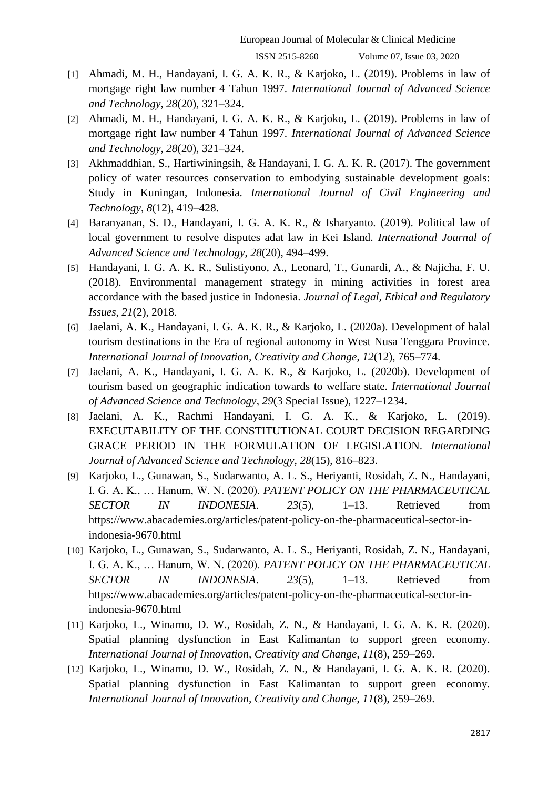- [1] Ahmadi, M. H., Handayani, I. G. A. K. R., & Karjoko, L. (2019). Problems in law of mortgage right law number 4 Tahun 1997. *International Journal of Advanced Science and Technology*, *28*(20), 321–324.
- [2] Ahmadi, M. H., Handayani, I. G. A. K. R., & Karjoko, L. (2019). Problems in law of mortgage right law number 4 Tahun 1997. *International Journal of Advanced Science and Technology*, *28*(20), 321–324.
- [3] Akhmaddhian, S., Hartiwiningsih, & Handayani, I. G. A. K. R. (2017). The government policy of water resources conservation to embodying sustainable development goals: Study in Kuningan, Indonesia. *International Journal of Civil Engineering and Technology*, *8*(12), 419–428.
- [4] Baranyanan, S. D., Handayani, I. G. A. K. R., & Isharyanto. (2019). Political law of local government to resolve disputes adat law in Kei Island. *International Journal of Advanced Science and Technology*, *28*(20), 494–499.
- [5] Handayani, I. G. A. K. R., Sulistiyono, A., Leonard, T., Gunardi, A., & Najicha, F. U. (2018). Environmental management strategy in mining activities in forest area accordance with the based justice in Indonesia. *Journal of Legal, Ethical and Regulatory Issues*, *21*(2), 2018.
- [6] Jaelani, A. K., Handayani, I. G. A. K. R., & Karjoko, L. (2020a). Development of halal tourism destinations in the Era of regional autonomy in West Nusa Tenggara Province. *International Journal of Innovation, Creativity and Change*, *12*(12), 765–774.
- [7] Jaelani, A. K., Handayani, I. G. A. K. R., & Karjoko, L. (2020b). Development of tourism based on geographic indication towards to welfare state. *International Journal of Advanced Science and Technology*, *29*(3 Special Issue), 1227–1234.
- [8] Jaelani, A. K., Rachmi Handayani, I. G. A. K., & Karjoko, L. (2019). EXECUTABILITY OF THE CONSTITUTIONAL COURT DECISION REGARDING GRACE PERIOD IN THE FORMULATION OF LEGISLATION. *International Journal of Advanced Science and Technology*, *28*(15), 816–823.
- [9] Karjoko, L., Gunawan, S., Sudarwanto, A. L. S., Heriyanti, Rosidah, Z. N., Handayani, I. G. A. K., … Hanum, W. N. (2020). *PATENT POLICY ON THE PHARMACEUTICAL SECTOR IN INDONESIA*. *23*(5), 1–13. Retrieved from https://www.abacademies.org/articles/patent-policy-on-the-pharmaceutical-sector-inindonesia-9670.html
- [10] Karjoko, L., Gunawan, S., Sudarwanto, A. L. S., Heriyanti, Rosidah, Z. N., Handayani, I. G. A. K., … Hanum, W. N. (2020). *PATENT POLICY ON THE PHARMACEUTICAL SECTOR IN INDONESIA*. *23*(5), 1–13. Retrieved from https://www.abacademies.org/articles/patent-policy-on-the-pharmaceutical-sector-inindonesia-9670.html
- [11] Karjoko, L., Winarno, D. W., Rosidah, Z. N., & Handayani, I. G. A. K. R. (2020). Spatial planning dysfunction in East Kalimantan to support green economy. *International Journal of Innovation, Creativity and Change*, *11*(8), 259–269.
- [12] Karjoko, L., Winarno, D. W., Rosidah, Z. N., & Handayani, I. G. A. K. R. (2020). Spatial planning dysfunction in East Kalimantan to support green economy. *International Journal of Innovation, Creativity and Change*, *11*(8), 259–269.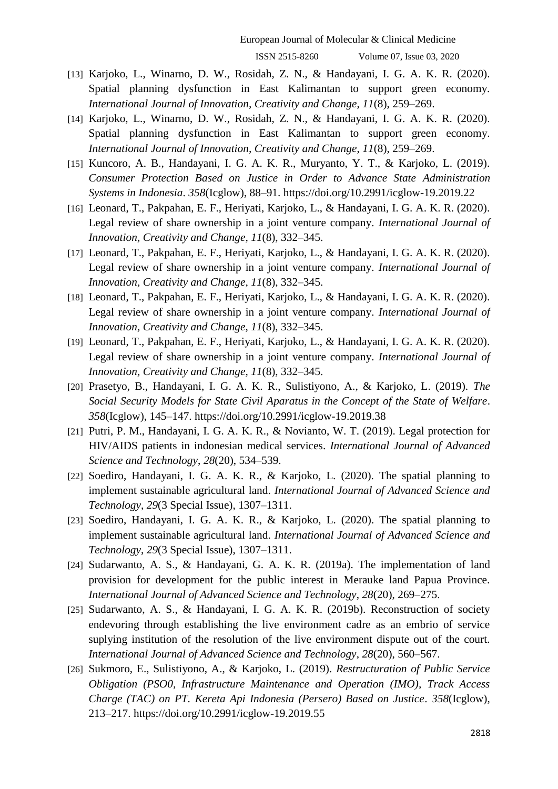- [13] Karjoko, L., Winarno, D. W., Rosidah, Z. N., & Handayani, I. G. A. K. R. (2020). Spatial planning dysfunction in East Kalimantan to support green economy. *International Journal of Innovation, Creativity and Change*, *11*(8), 259–269.
- [14] Karjoko, L., Winarno, D. W., Rosidah, Z. N., & Handayani, I. G. A. K. R. (2020). Spatial planning dysfunction in East Kalimantan to support green economy. *International Journal of Innovation, Creativity and Change*, *11*(8), 259–269.
- [15] Kuncoro, A. B., Handayani, I. G. A. K. R., Muryanto, Y. T., & Karjoko, L. (2019). *Consumer Protection Based on Justice in Order to Advance State Administration Systems in Indonesia*. *358*(Icglow), 88–91. https://doi.org/10.2991/icglow-19.2019.22
- [16] Leonard, T., Pakpahan, E. F., Heriyati, Karjoko, L., & Handayani, I. G. A. K. R. (2020). Legal review of share ownership in a joint venture company. *International Journal of Innovation, Creativity and Change*, *11*(8), 332–345.
- [17] Leonard, T., Pakpahan, E. F., Heriyati, Karjoko, L., & Handayani, I. G. A. K. R. (2020). Legal review of share ownership in a joint venture company. *International Journal of Innovation, Creativity and Change*, *11*(8), 332–345.
- [18] Leonard, T., Pakpahan, E. F., Heriyati, Karjoko, L., & Handayani, I. G. A. K. R. (2020). Legal review of share ownership in a joint venture company. *International Journal of Innovation, Creativity and Change*, *11*(8), 332–345.
- [19] Leonard, T., Pakpahan, E. F., Heriyati, Karjoko, L., & Handayani, I. G. A. K. R. (2020). Legal review of share ownership in a joint venture company. *International Journal of Innovation, Creativity and Change*, *11*(8), 332–345.
- [20] Prasetyo, B., Handayani, I. G. A. K. R., Sulistiyono, A., & Karjoko, L. (2019). *The Social Security Models for State Civil Aparatus in the Concept of the State of Welfare*. *358*(Icglow), 145–147. https://doi.org/10.2991/icglow-19.2019.38
- [21] Putri, P. M., Handayani, I. G. A. K. R., & Novianto, W. T. (2019). Legal protection for HIV/AIDS patients in indonesian medical services. *International Journal of Advanced Science and Technology*, *28*(20), 534–539.
- [22] Soediro, Handayani, I. G. A. K. R., & Karjoko, L. (2020). The spatial planning to implement sustainable agricultural land. *International Journal of Advanced Science and Technology*, *29*(3 Special Issue), 1307–1311.
- [23] Soediro, Handayani, I. G. A. K. R., & Karjoko, L. (2020). The spatial planning to implement sustainable agricultural land. *International Journal of Advanced Science and Technology*, *29*(3 Special Issue), 1307–1311.
- [24] Sudarwanto, A. S., & Handayani, G. A. K. R. (2019a). The implementation of land provision for development for the public interest in Merauke land Papua Province. *International Journal of Advanced Science and Technology*, *28*(20), 269–275.
- [25] Sudarwanto, A. S., & Handayani, I. G. A. K. R. (2019b). Reconstruction of society endevoring through establishing the live environment cadre as an embrio of service suplying institution of the resolution of the live environment dispute out of the court. *International Journal of Advanced Science and Technology*, *28*(20), 560–567.
- [26] Sukmoro, E., Sulistiyono, A., & Karjoko, L. (2019). *Restructuration of Public Service Obligation (PSO0, Infrastructure Maintenance and Operation (IMO), Track Access Charge (TAC) on PT. Kereta Api Indonesia (Persero) Based on Justice*. *358*(Icglow), 213–217. https://doi.org/10.2991/icglow-19.2019.55